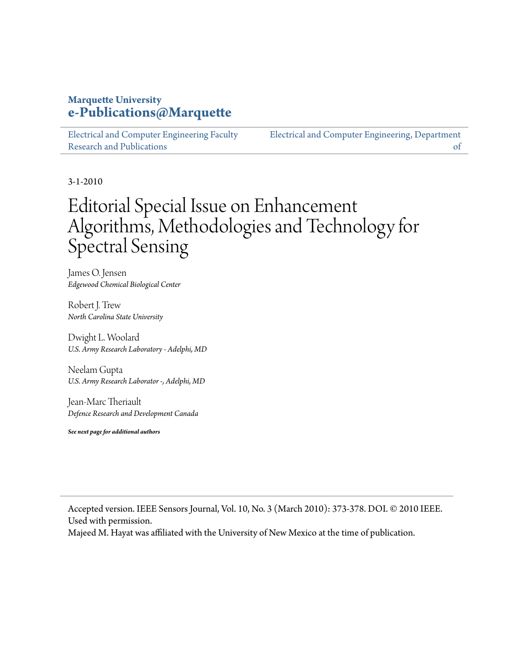#### **Marquette University [e-Publications@Marquette](https://epublications.marquette.edu)**

[Electrical and Computer Engineering Faculty](https://epublications.marquette.edu/electric_fac) [Research and Publications](https://epublications.marquette.edu/electric_fac)

[Electrical and Computer Engineering, Department](https://epublications.marquette.edu/electric) [of](https://epublications.marquette.edu/electric)

3-1-2010

# Editorial Special Issue on Enhancement Algorithms, Methodologies and Technology for Spectral Sensing

James O. Jensen *Edgewood Chemical Biological Center*

Robert J. Trew *North Carolina State University*

Dwight L. Woolard *U.S. Army Research Laboratory - Adelphi, MD*

Neelam Gupta *U.S. Army Research Laborator -, Adelphi, MD*

Jean-Marc Theriault *Defence Research and Development Canada*

*See next page for additional authors*

Accepted version. IEEE Sensors Journal, Vol. 10, No. 3 (March 2010): 373-378. DOI. © 2010 IEEE. Used with permission.

Majeed M. Hayat was affiliated with the University of New Mexico at the time of publication.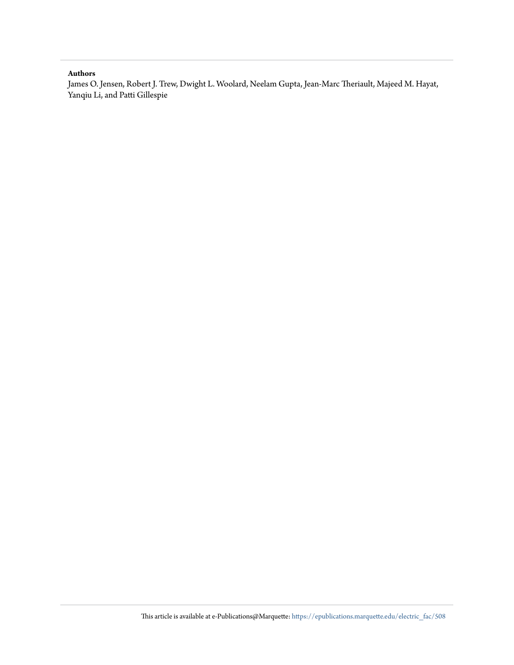#### **Authors**

James O. Jensen, Robert J. Trew, Dwight L. Woolard, Neelam Gupta, Jean-Marc Theriault, Majeed M. Hayat, Yanqiu Li, and Patti Gillespie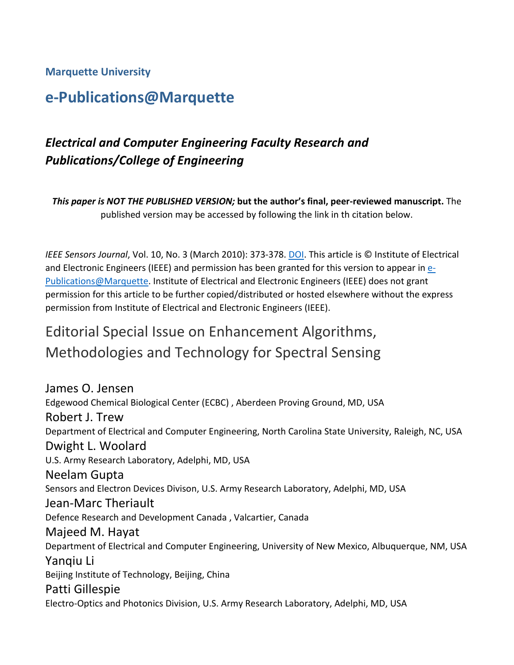#### **Marquette University**

## **e-Publications@Marquette**

## *Electrical and Computer Engineering Faculty Research and Publications/College of Engineering*

*This paper is NOT THE PUBLISHED VERSION;* **but the author's final, peer-reviewed manuscript.** The published version may be accessed by following the link in th citation below.

*IEEE Sensors Journal*, Vol. 10, No. 3 (March 2010): 373-378. [DOI.](https://doi.org/10.1109/JSEN.2010.2041385) This article is © Institute of Electrical and Electronic Engineers (IEEE) and permission has been granted for this version to appear in [e-](http://epublications.marquette.edu/)[Publications@Marquette.](http://epublications.marquette.edu/) Institute of Electrical and Electronic Engineers (IEEE) does not grant permission for this article to be further copied/distributed or hosted elsewhere without the express permission from Institute of Electrical and Electronic Engineers (IEEE).

## Editorial Special Issue on Enhancement Algorithms, Methodologies and Technology for Spectral Sensing

James O. Jensen Edgewood Chemical Biological Center (ECBC) , Aberdeen Proving Ground, MD, USA Robert J. Trew Department of Electrical and Computer Engineering, North Carolina State University, Raleigh, NC, USA Dwight L. Woolard U.S. Army Research Laboratory, Adelphi, MD, USA Neelam Gupta Sensors and Electron Devices Divison, U.S. Army Research Laboratory, Adelphi, MD, USA Jean-Marc Theriault Defence Research and Development Canada , Valcartier, Canada Majeed M. Hayat Department of Electrical and Computer Engineering, University of New Mexico, Albuquerque, NM, USA Yanqiu Li Beijing Institute of Technology, Beijing, China Patti Gillespie Electro-Optics and Photonics Division, U.S. Army Research Laboratory, Adelphi, MD, USA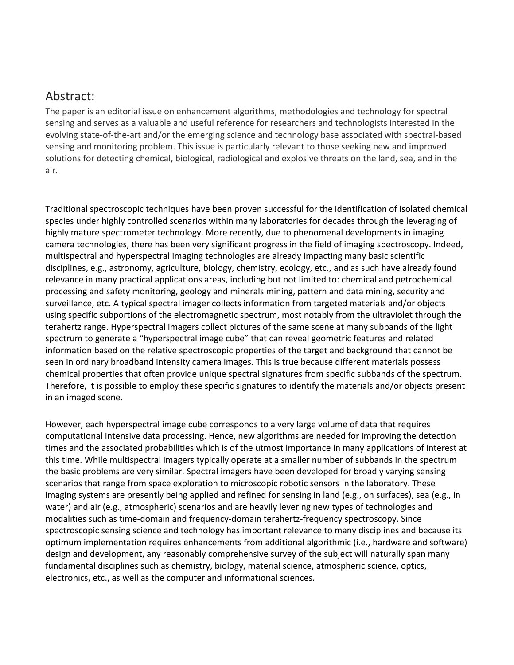### Abstract:

The paper is an editorial issue on enhancement algorithms, methodologies and technology for spectral sensing and serves as a valuable and useful reference for researchers and technologists interested in the evolving state-of-the-art and/or the emerging science and technology base associated with spectral-based sensing and monitoring problem. This issue is particularly relevant to those seeking new and improved solutions for detecting chemical, biological, radiological and explosive threats on the land, sea, and in the air.

Traditional spectroscopic techniques have been proven successful for the identification of isolated chemical species under highly controlled scenarios within many laboratories for decades through the leveraging of highly mature spectrometer technology. More recently, due to phenomenal developments in imaging camera technologies, there has been very significant progress in the field of imaging spectroscopy. Indeed, multispectral and hyperspectral imaging technologies are already impacting many basic scientific disciplines, e.g., astronomy, agriculture, biology, chemistry, ecology, etc., and as such have already found relevance in many practical applications areas, including but not limited to: chemical and petrochemical processing and safety monitoring, geology and minerals mining, pattern and data mining, security and surveillance, etc. A typical spectral imager collects information from targeted materials and/or objects using specific subportions of the electromagnetic spectrum, most notably from the ultraviolet through the terahertz range. Hyperspectral imagers collect pictures of the same scene at many subbands of the light spectrum to generate a "hyperspectral image cube" that can reveal geometric features and related information based on the relative spectroscopic properties of the target and background that cannot be seen in ordinary broadband intensity camera images. This is true because different materials possess chemical properties that often provide unique spectral signatures from specific subbands of the spectrum. Therefore, it is possible to employ these specific signatures to identify the materials and/or objects present in an imaged scene.

However, each hyperspectral image cube corresponds to a very large volume of data that requires computational intensive data processing. Hence, new algorithms are needed for improving the detection times and the associated probabilities which is of the utmost importance in many applications of interest at this time. While multispectral imagers typically operate at a smaller number of subbands in the spectrum the basic problems are very similar. Spectral imagers have been developed for broadly varying sensing scenarios that range from space exploration to microscopic robotic sensors in the laboratory. These imaging systems are presently being applied and refined for sensing in land (e.g., on surfaces), sea (e.g., in water) and air (e.g., atmospheric) scenarios and are heavily levering new types of technologies and modalities such as time-domain and frequency-domain terahertz-frequency spectroscopy. Since spectroscopic sensing science and technology has important relevance to many disciplines and because its optimum implementation requires enhancements from additional algorithmic (i.e., hardware and software) design and development, any reasonably comprehensive survey of the subject will naturally span many fundamental disciplines such as chemistry, biology, material science, atmospheric science, optics, electronics, etc., as well as the computer and informational sciences.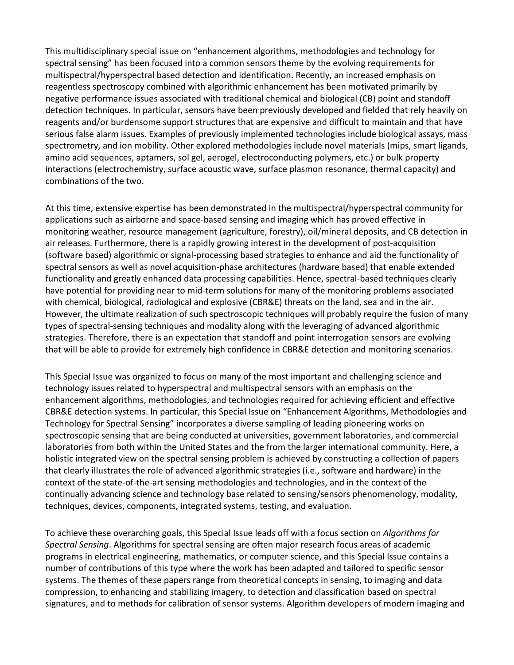This multidisciplinary special issue on "enhancement algorithms, methodologies and technology for spectral sensing" has been focused into a common sensors theme by the evolving requirements for multispectral/hyperspectral based detection and identification. Recently, an increased emphasis on reagentless spectroscopy combined with algorithmic enhancement has been motivated primarily by negative performance issues associated with traditional chemical and biological (CB) point and standoff detection techniques. In particular, sensors have been previously developed and fielded that rely heavily on reagents and/or burdensome support structures that are expensive and difficult to maintain and that have serious false alarm issues. Examples of previously implemented technologies include biological assays, mass spectrometry, and ion mobility. Other explored methodologies include novel materials (mips, smart ligands, amino acid sequences, aptamers, sol gel, aerogel, electroconducting polymers, etc.) or bulk property interactions (electrochemistry, surface acoustic wave, surface plasmon resonance, thermal capacity) and combinations of the two.

At this time, extensive expertise has been demonstrated in the multispectral/hyperspectral community for applications such as airborne and space-based sensing and imaging which has proved effective in monitoring weather, resource management (agriculture, forestry), oil/mineral deposits, and CB detection in air releases. Furthermore, there is a rapidly growing interest in the development of post-acquisition (software based) algorithmic or signal-processing based strategies to enhance and aid the functionality of spectral sensors as well as novel acquisition-phase architectures (hardware based) that enable extended functionality and greatly enhanced data processing capabilities. Hence, spectral-based techniques clearly have potential for providing near to mid-term solutions for many of the monitoring problems associated with chemical, biological, radiological and explosive (CBR&E) threats on the land, sea and in the air. However, the ultimate realization of such spectroscopic techniques will probably require the fusion of many types of spectral-sensing techniques and modality along with the leveraging of advanced algorithmic strategies. Therefore, there is an expectation that standoff and point interrogation sensors are evolving that will be able to provide for extremely high confidence in CBR&E detection and monitoring scenarios.

This Special Issue was organized to focus on many of the most important and challenging science and technology issues related to hyperspectral and multispectral sensors with an emphasis on the enhancement algorithms, methodologies, and technologies required for achieving efficient and effective CBR&E detection systems. In particular, this Special Issue on "Enhancement Algorithms, Methodologies and Technology for Spectral Sensing" incorporates a diverse sampling of leading pioneering works on spectroscopic sensing that are being conducted at universities, government laboratories, and commercial laboratories from both within the United States and the from the larger international community. Here, a holistic integrated view on the spectral sensing problem is achieved by constructing a collection of papers that clearly illustrates the role of advanced algorithmic strategies (i.e., software and hardware) in the context of the state-of-the-art sensing methodologies and technologies, and in the context of the continually advancing science and technology base related to sensing/sensors phenomenology, modality, techniques, devices, components, integrated systems, testing, and evaluation.

To achieve these overarching goals, this Special Issue leads off with a focus section on *Algorithms for Spectral Sensing*. Algorithms for spectral sensing are often major research focus areas of academic programs in electrical engineering, mathematics, or computer science, and this Special Issue contains a number of contributions of this type where the work has been adapted and tailored to specific sensor systems. The themes of these papers range from theoretical concepts in sensing, to imaging and data compression, to enhancing and stabilizing imagery, to detection and classification based on spectral signatures, and to methods for calibration of sensor systems. Algorithm developers of modern imaging and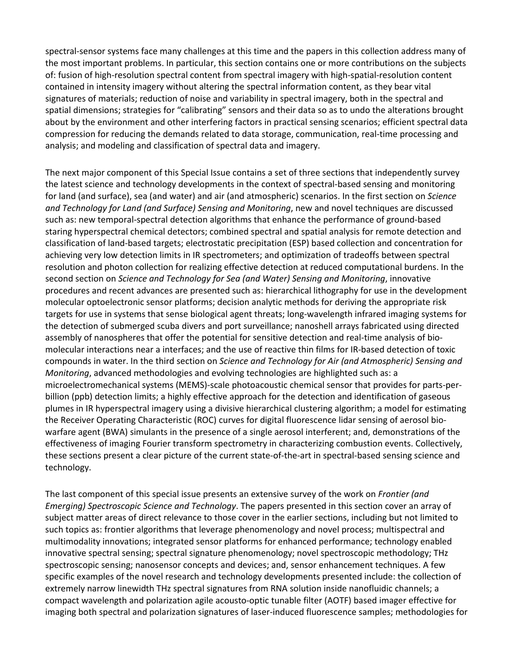spectral-sensor systems face many challenges at this time and the papers in this collection address many of the most important problems. In particular, this section contains one or more contributions on the subjects of: fusion of high-resolution spectral content from spectral imagery with high-spatial-resolution content contained in intensity imagery without altering the spectral information content, as they bear vital signatures of materials; reduction of noise and variability in spectral imagery, both in the spectral and spatial dimensions; strategies for "calibrating" sensors and their data so as to undo the alterations brought about by the environment and other interfering factors in practical sensing scenarios; efficient spectral data compression for reducing the demands related to data storage, communication, real-time processing and analysis; and modeling and classification of spectral data and imagery.

The next major component of this Special Issue contains a set of three sections that independently survey the latest science and technology developments in the context of spectral-based sensing and monitoring for land (and surface), sea (and water) and air (and atmospheric) scenarios. In the first section on *Science and Technology for Land (and Surface) Sensing and Monitoring*, new and novel techniques are discussed such as: new temporal-spectral detection algorithms that enhance the performance of ground-based staring hyperspectral chemical detectors; combined spectral and spatial analysis for remote detection and classification of land-based targets; electrostatic precipitation (ESP) based collection and concentration for achieving very low detection limits in IR spectrometers; and optimization of tradeoffs between spectral resolution and photon collection for realizing effective detection at reduced computational burdens. In the second section on *Science and Technology for Sea (and Water) Sensing and Monitoring*, innovative procedures and recent advances are presented such as: hierarchical lithography for use in the development molecular optoelectronic sensor platforms; decision analytic methods for deriving the appropriate risk targets for use in systems that sense biological agent threats; long-wavelength infrared imaging systems for the detection of submerged scuba divers and port surveillance; nanoshell arrays fabricated using directed assembly of nanospheres that offer the potential for sensitive detection and real-time analysis of biomolecular interactions near a interfaces; and the use of reactive thin films for IR-based detection of toxic compounds in water. In the third section on *Science and Technology for Air (and Atmospheric) Sensing and Monitoring*, advanced methodologies and evolving technologies are highlighted such as: a microelectromechanical systems (MEMS)-scale photoacoustic chemical sensor that provides for parts-perbillion (ppb) detection limits; a highly effective approach for the detection and identification of gaseous plumes in IR hyperspectral imagery using a divisive hierarchical clustering algorithm; a model for estimating the Receiver Operating Characteristic (ROC) curves for digital fluorescence lidar sensing of aerosol biowarfare agent (BWA) simulants in the presence of a single aerosol interferent; and, demonstrations of the effectiveness of imaging Fourier transform spectrometry in characterizing combustion events. Collectively, these sections present a clear picture of the current state-of-the-art in spectral-based sensing science and technology.

The last component of this special issue presents an extensive survey of the work on *Frontier (and Emerging) Spectroscopic Science and Technology*. The papers presented in this section cover an array of subject matter areas of direct relevance to those cover in the earlier sections, including but not limited to such topics as: frontier algorithms that leverage phenomenology and novel process; multispectral and multimodality innovations; integrated sensor platforms for enhanced performance; technology enabled innovative spectral sensing; spectral signature phenomenology; novel spectroscopic methodology; THz spectroscopic sensing; nanosensor concepts and devices; and, sensor enhancement techniques. A few specific examples of the novel research and technology developments presented include: the collection of extremely narrow linewidth THz spectral signatures from RNA solution inside nanofluidic channels; a compact wavelength and polarization agile acousto-optic tunable filter (AOTF) based imager effective for imaging both spectral and polarization signatures of laser-induced fluorescence samples; methodologies for